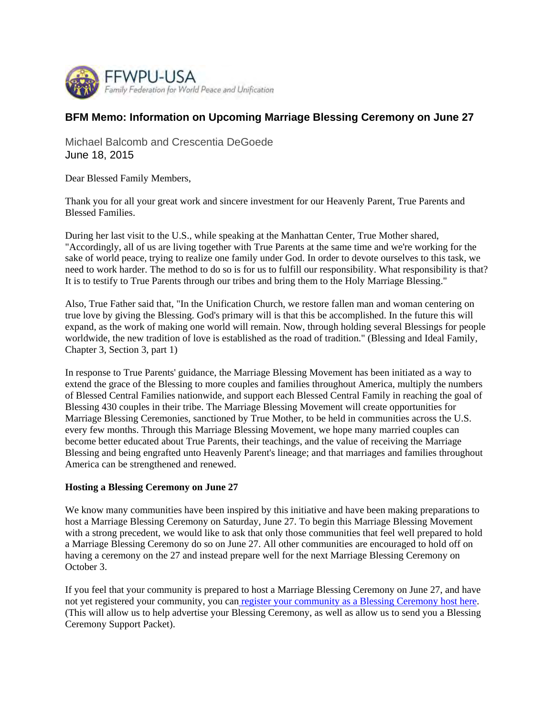

## **BFM Memo: Information on Upcoming Marriage Blessing Ceremony on June 27**

Michael Balcomb and Crescentia DeGoede June 18, 2015

Dear Blessed Family Members,

Thank you for all your great work and sincere investment for our Heavenly Parent, True Parents and Blessed Families.

During her last visit to the U.S., while speaking at the Manhattan Center, True Mother shared, "Accordingly, all of us are living together with True Parents at the same time and we're working for the sake of world peace, trying to realize one family under God. In order to devote ourselves to this task, we need to work harder. The method to do so is for us to fulfill our responsibility. What responsibility is that? It is to testify to True Parents through our tribes and bring them to the Holy Marriage Blessing."

Also, True Father said that, "In the Unification Church, we restore fallen man and woman centering on true love by giving the Blessing. God's primary will is that this be accomplished. In the future this will expand, as the work of making one world will remain. Now, through holding several Blessings for people worldwide, the new tradition of love is established as the road of tradition." (Blessing and Ideal Family, Chapter 3, Section 3, part 1)

In response to True Parents' guidance, the Marriage Blessing Movement has been initiated as a way to extend the grace of the Blessing to more couples and families throughout America, multiply the numbers of Blessed Central Families nationwide, and support each Blessed Central Family in reaching the goal of Blessing 430 couples in their tribe. The Marriage Blessing Movement will create opportunities for Marriage Blessing Ceremonies, sanctioned by True Mother, to be held in communities across the U.S. every few months. Through this Marriage Blessing Movement, we hope many married couples can become better educated about True Parents, their teachings, and the value of receiving the Marriage Blessing and being engrafted unto Heavenly Parent's lineage; and that marriages and families throughout America can be strengthened and renewed.

## **Hosting a Blessing Ceremony on June 27**

We know many communities have been inspired by this initiative and have been making preparations to host a Marriage Blessing Ceremony on Saturday, June 27. To begin this Marriage Blessing Movement with a strong precedent, we would like to ask that only those communities that feel well prepared to hold a Marriage Blessing Ceremony do so on June 27. All other communities are encouraged to hold off on having a ceremony on the 27 and instead prepare well for the next Marriage Blessing Ceremony on October 3.

If you feel that your community is prepared to host a Marriage Blessing Ceremony on June 27, and have not yet registered your community, you can register your community as a Blessing Ceremony host here. (This will allow us to help advertise your Blessing Ceremony, as well as allow us to send you a Blessing Ceremony Support Packet).